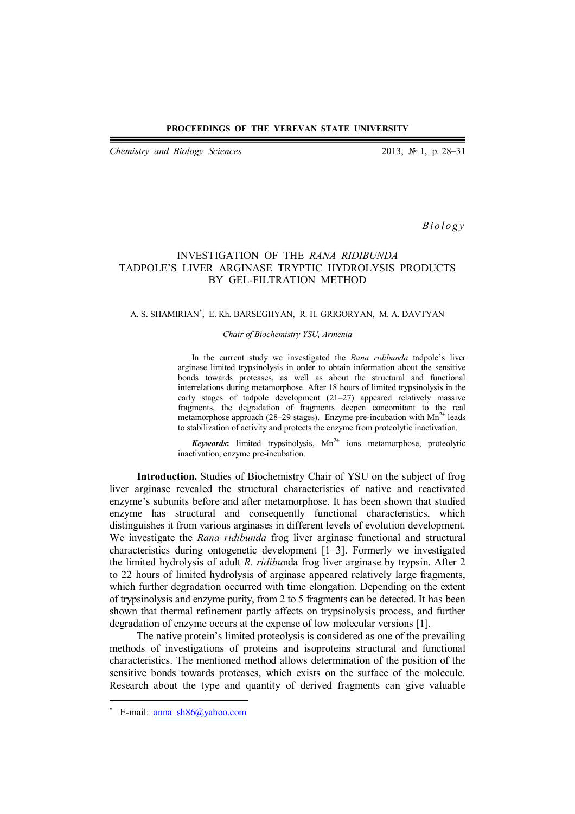#### **PROCEEDINGS OF THE YEREVAN STATE UNIVERSITY**

*Chemistry and Biology Sciences* 2013, № 1, p. 28–31

*B i o l o g y*

# INVESTIGATION OF THE *RANA RIDIBUNDA* TADPOLE'S LIVER ARGINASE TRYPTIC HYDROLYSIS PRODUCTS BY GEL-FILTRATION METHOD

### A. S. SHAMIRIAN , E. Kh. BARSEGHYAN, R. H. GRIGORYAN, M. A. DAVTYAN

#### *Chair of Biochemistry YSU, Armenia*

In the current study we investigated the *Rana ridibunda* tadpole's liver arginase limited trypsinolysis in order to obtain information about the sensitive bonds towards proteases, as well as about the structural and functional interrelations during metamorphose. After 18 hours of limited trypsinolysis in the early stages of tadpole development (21–27) appeared relatively massive fragments, the degradation of fragments deepen concomitant to the real metamorphose approach (28–29 stages). Enzyme pre-incubation with  $Mn^{2+}$  leads to stabilization of activity and protects the enzyme from proteolytic inactivation.

Keywords: limited trypsinolysis, Mn<sup>2+</sup> ions metamorphose, proteolytic inactivation, enzyme pre-incubation.

**Introduction.** Studies of Biochemistry Chair of YSU on the subject of frog liver arginase revealed the structural characteristics of native and reactivated enzyme's subunits before and after metamorphose. It has been shown that studied enzyme has structural and consequently functional characteristics, which distinguishes it from various arginases in different levels of evolution development. We investigate the *Rana ridibunda* frog liver arginase functional and structural characteristics during ontogenetic development [1–3]. Formerly we investigated the limited hydrolysis of adult *R. ridibu*nda frog liver arginase by trypsin. After 2 to 22 hours of limited hydrolysis of arginase appeared relatively large fragments, which further degradation occurred with time elongation. Depending on the extent of trypsinolysis and enzyme purity, from 2 to 5 fragments can be detected. It has been shown that thermal refinement partly affects on trypsinolysis process, and further degradation of enzyme occurs at the expense of low molecular versions [1].

The native protein's limited proteolysis is considered as one of the prevailing methods of investigations of proteins and isoproteins structural and functional characteristics. The mentioned method allows determination of the position of the sensitive bonds towards proteases, which exists on the surface of the molecule. Research about the type and quantity of derived fragments can give valuable

 $\overline{a}$ 

<sup>\*</sup> E-mail: anna\_sh86@yahoo.com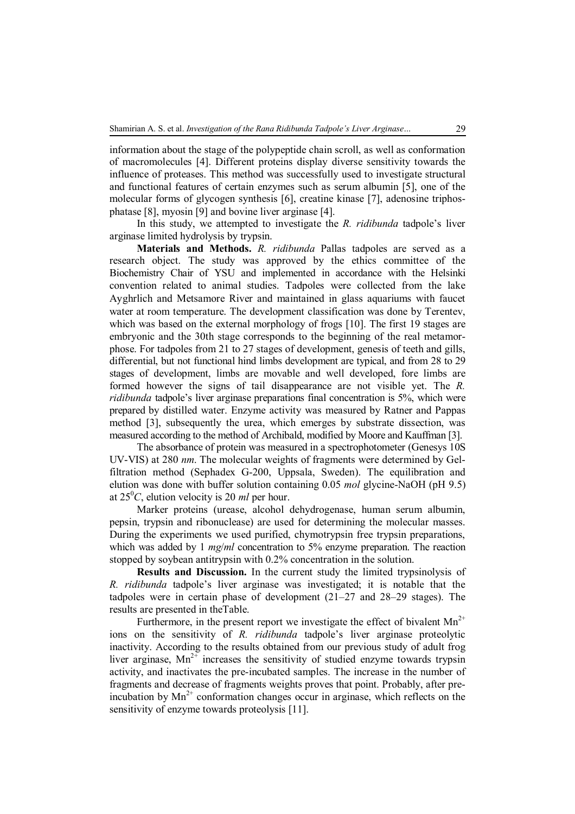information about the stage of the polypeptide chain scroll, as well as conformation of macromolecules [4]. Different proteins display diverse sensitivity towards the influence of proteases. This method was successfully used to investigate structural and functional features of certain enzymes such as serum albumin [5], one of the molecular forms of glycogen synthesis [6], creatine kinase [7], adenosine triphosphatase [8], myosin [9] and bovine liver arginase [4].

In this study, we attempted to investigate the *R. ridibunda* tadpole's liver arginase limited hydrolysis by trypsin.

**Materials and Methods.** *R. ridibunda* Pallas tadpoles are served as a research object. The study was approved by the ethics committee of the Biochemistry Chair of YSU and implemented in accordance with the Helsinki convention related to animal studies. Tadpoles were collected from the lake Ayghrlich and Metsamore River and maintained in glass aquariums with faucet water at room temperature. The development classification was done by Terentev, which was based on the external morphology of frogs [10]. The first 19 stages are embryonic and the 30th stage corresponds to the beginning of the real metamorphose. For tadpoles from 21 to 27 stages of development, genesis of teeth and gills, differential, but not functional hind limbs development are typical, and from 28 to 29 stages of development, limbs are movable and well developed, fore limbs are formed however the signs of tail disappearance are not visible yet. The *R. ridibunda* tadpole's liver arginase preparations final concentration is 5%, which were prepared by distilled water. Enzyme activity was measured by Ratner and Pappas method [3], subsequently the urea, which emerges by substrate dissection, was measured according to the method of Archibald, modified by Moore and Kauffman [3].

The absorbance of protein was measured in a spectrophotometer (Genesys 10S UV-VIS) at 280 *nm*. The molecular weights of fragments were determined by Gelfiltration method (Sephadex G-200, Uppsala, Sweden). The equilibration and elution was done with buffer solution containing 0.05 *mol* glycine-NaOH (pH 9.5) at  $25^{\circ}$ C, elution velocity is 20 *ml* per hour.

Marker proteins (urease, alcohol dehydrogenase, human serum albumin, pepsin, trypsin and ribonuclease) are used for determining the molecular masses. During the experiments we used purified, chymotrypsin free trypsin preparations, which was added by 1 *mg/ml* concentration to 5% enzyme preparation. The reaction stopped by soybean antitrypsin with 0.2% concentration in the solution.

**Results and Discussion.** In the current study the limited trypsinolysis of *R. ridibunda* tadpole's liver arginase was investigated; it is notable that the tadpoles were in certain phase of development (21–27 and 28–29 stages). The results are presented in theTable.

Furthermore, in the present report we investigate the effect of bivalent  $Mn^{2+}$ ions on the sensitivity of *R. ridibunda* tadpole's liver arginase proteolytic inactivity. According to the results obtained from our previous study of adult frog liver arginase,  $Mn^{2+}$  increases the sensitivity of studied enzyme towards trypsin activity, and inactivates the pre-incubated samples. The increase in the number of fragments and decrease of fragments weights proves that point. Probably, after preincubation by  $Mn^{2+}$  conformation changes occur in arginase, which reflects on the sensitivity of enzyme towards proteolysis [11].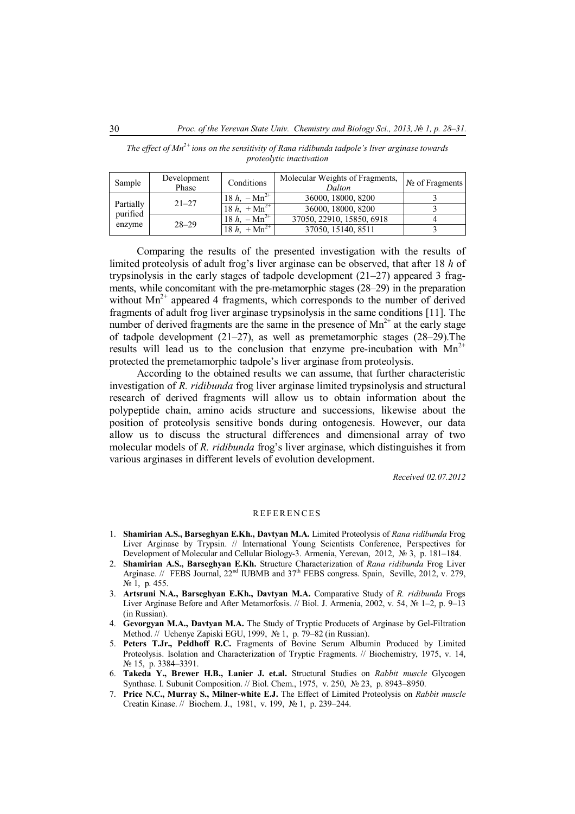| Sample                          | Development<br>Phase | Conditions                  | Molecular Weights of Fragments,<br>Dalton | $N2$ of Fragments $\vdash$ |
|---------------------------------|----------------------|-----------------------------|-------------------------------------------|----------------------------|
| Partially<br>purified<br>enzyme | $21 - 27$            | 18 $h_x$ – Mn <sup>2+</sup> | 36000, 18000, 8200                        |                            |
|                                 |                      | 18 $h_x + Mn^{2+}$          | 36000, 18000, 8200                        |                            |
|                                 | $28 - 29$            | 18 $h_1 - \text{Mn}^{2+}$   | 37050, 22910, 15850, 6918                 |                            |
|                                 |                      | $18 h$ , $+ Mn^{2+}$        | 37050, 15140, 8511                        |                            |

*The effect of Mn2+ ions on the sensitivity of Rana ridibunda tadpole's liver arginase towards proteolytic inactivation* 

Comparing the results of the presented investigation with the results of limited proteolysis of adult frog's liver arginase can be observed, that after 18 *h* of trypsinolysis in the early stages of tadpole development (21–27) appeared 3 fragments, while concomitant with the pre-metamorphic stages (28–29) in the preparation without  $Mn^{2+}$  appeared 4 fragments, which corresponds to the number of derived fragments of adult frog liver arginase trypsinolysis in the same conditions [11]. The number of derived fragments are the same in the presence of  $Mn^{2+}$  at the early stage of tadpole development (21–27), as well as premetamorphic stages (28–29).The results will lead us to the conclusion that enzyme pre-incubation with  $Mn^{2+}$ protected the premetamorphic tadpole's liver arginase from proteolysis.

According to the obtained results we can assume, that further characteristic investigation of *R. ridibunda* frog liver arginase limited trypsinolysis and structural research of derived fragments will allow us to obtain information about the polypeptide chain, amino acids structure and successions, likewise about the position of proteolysis sensitive bonds during ontogenesis. However, our data allow us to discuss the structural differences and dimensional array of two molecular models of *R. ridibunda* frog's liver arginase, which distinguishes it from various arginases in different levels of evolution development.

 *Received 02.07.2012*

## **REFERENCES**

- 1. **Shamirian A.S., Barseghyan E.Kh., Davtyan M.A.** Limited Proteolysis of *Rana ridibunda* Frog Liver Arginase by Trypsin. // International Young Scientists Conference, Perspectives for Development of Molecular and Cellular Biology-3. Armenia, Yerevan, 2012, № 3, p. 181–184.
- 2. **Shamirian A.S., Barseghyan E.Kh.** Structure Characterization of *Rana ridibunda* Frog Liver Arginase. // FEBS Journal,  $22<sup>nd</sup> IUBMB$  and  $37<sup>th</sup> FEBS$  congress. Spain, Seville, 2012, v. 279, № 1, p. 455.
- 3. **Artsruni N.A., Barseghyan E.Kh., Davtyan M.A.** Comparative Study of *R. ridibunda* Frogs Liver Arginase Before and After Metamorfosis. // Biol. J. Armenia, 2002, v. 54, № 1–2, p. 9–13 (in Russian).
- 4. **Gevorgyan M.A., Davtyan M.A.** The Study of Tryptic Producets of Arginase by Gel-Filtration Method. // Uchenye Zapiski EGU, 1999, № 1, p. 79–82 (in Russian).
- 5. **Peters T.Jr., Peldhoff R.C.** Fragments of Bovine Serum Albumin Produced by Limited Proteolysis. Isolation and Characterization of Tryptic Fragments. // Biochemistry, 1975, v. 14, № 15, p. 3384–3391.
- 6. **Takeda Y., Brewer H.B., Lanier J. et.al.** Structural Studies on *Rabbit muscle* Glycogen Synthase. I. Subunit Composition. // Biol. Chem., 1975, v. 250, № 23, p. 8943–8950.
- 7. **Price N.C., Murray S., Milner-white E.J.** The Effect of Limited Proteolysis on *Rabbit muscle* Creatin Kinase. // Biochem. J., 1981, v. 199, № 1, p. 239–244.